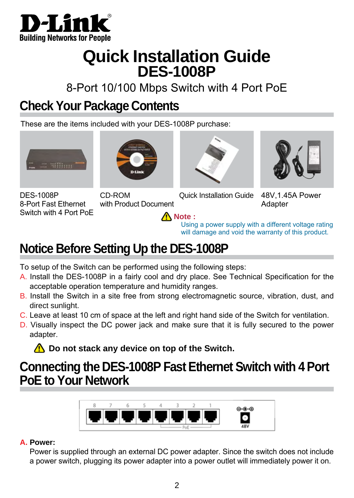

# **Quick Installation Guide DES-1008P**

8-Port 10/100 Mbps Switch with 4 Port PoE

## **Check Your Package Contents**

These are the items included with your DES-1008P purchase:





DES-1008P 8-Port Fast Ethernet Switch with 4 Port PoE

CD-ROM with Product Document



Quick Installation Guide 48V,1.45A Power



Adapter

**Note :** Using a power supply with a different voltage rating will damage and void the warranty of this product.

## **Notice Before Setting Up the DES-1008P**

To setup of the Switch can be performed using the following steps:

- A. Install the DES-1008P in a fairly cool and dry place. See Technical Specification for the acceptable operation temperature and humidity ranges.
- B. Install the Switch in a site free from strong electromagnetic source, vibration, dust, and direct sunlight.
- C. Leave at least 10 cm of space at the left and right hand side of the Switch for ventilation.
- D. Visually inspect the DC power jack and make sure that it is fully secured to the power adapter.

**1** Do not stack any device on top of the Switch.

### **Connecting the DES-1008P Fast Ethernet Switch with 4 Port PoE to Your Network**



### **A. Power:**

Power is supplied through an external DC power adapter. Since the switch does not include a power switch, plugging its power adapter into a power outlet will immediately power it on.